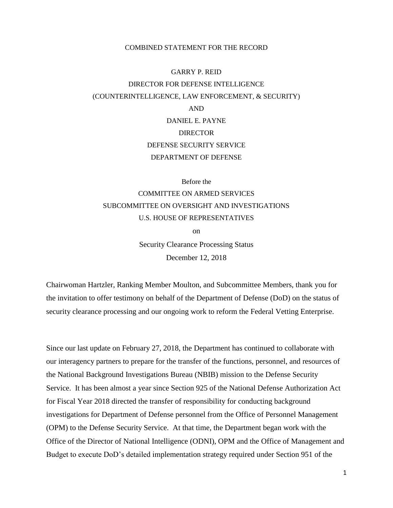## COMBINED STATEMENT FOR THE RECORD

## GARRY P. REID DIRECTOR FOR DEFENSE INTELLIGENCE (COUNTERINTELLIGENCE, LAW ENFORCEMENT, & SECURITY) AND DANIEL E. PAYNE **DIRECTOR** DEFENSE SECURITY SERVICE

DEPARTMENT OF DEFENSE

Before the

COMMITTEE ON ARMED SERVICES SUBCOMMITTEE ON OVERSIGHT AND INVESTIGATIONS U.S. HOUSE OF REPRESENTATIVES

on

Security Clearance Processing Status December 12, 2018

Chairwoman Hartzler, Ranking Member Moulton, and Subcommittee Members, thank you for the invitation to offer testimony on behalf of the Department of Defense (DoD) on the status of security clearance processing and our ongoing work to reform the Federal Vetting Enterprise.

Since our last update on February 27, 2018, the Department has continued to collaborate with our interagency partners to prepare for the transfer of the functions, personnel, and resources of the National Background Investigations Bureau (NBIB) mission to the Defense Security Service. It has been almost a year since Section 925 of the National Defense Authorization Act for Fiscal Year 2018 directed the transfer of responsibility for conducting background investigations for Department of Defense personnel from the Office of Personnel Management (OPM) to the Defense Security Service. At that time, the Department began work with the Office of the Director of National Intelligence (ODNI), OPM and the Office of Management and Budget to execute DoD's detailed implementation strategy required under Section 951 of the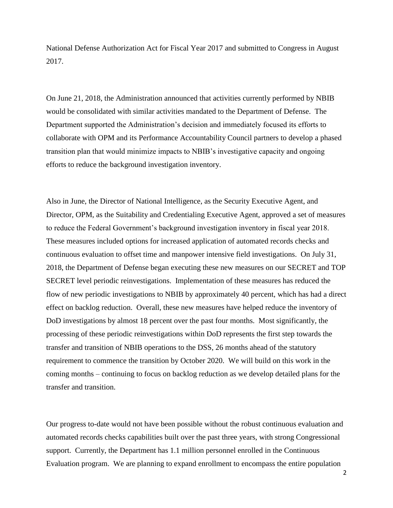National Defense Authorization Act for Fiscal Year 2017 and submitted to Congress in August 2017.

On June 21, 2018, the Administration announced that activities currently performed by NBIB would be consolidated with similar activities mandated to the Department of Defense. The Department supported the Administration's decision and immediately focused its efforts to collaborate with OPM and its Performance Accountability Council partners to develop a phased transition plan that would minimize impacts to NBIB's investigative capacity and ongoing efforts to reduce the background investigation inventory.

Also in June, the Director of National Intelligence, as the Security Executive Agent, and Director, OPM, as the Suitability and Credentialing Executive Agent, approved a set of measures to reduce the Federal Government's background investigation inventory in fiscal year 2018. These measures included options for increased application of automated records checks and continuous evaluation to offset time and manpower intensive field investigations. On July 31, 2018, the Department of Defense began executing these new measures on our SECRET and TOP SECRET level periodic reinvestigations. Implementation of these measures has reduced the flow of new periodic investigations to NBIB by approximately 40 percent, which has had a direct effect on backlog reduction. Overall, these new measures have helped reduce the inventory of DoD investigations by almost 18 percent over the past four months. Most significantly, the processing of these periodic reinvestigations within DoD represents the first step towards the transfer and transition of NBIB operations to the DSS, 26 months ahead of the statutory requirement to commence the transition by October 2020. We will build on this work in the coming months – continuing to focus on backlog reduction as we develop detailed plans for the transfer and transition.

Our progress to-date would not have been possible without the robust continuous evaluation and automated records checks capabilities built over the past three years, with strong Congressional support. Currently, the Department has 1.1 million personnel enrolled in the Continuous Evaluation program. We are planning to expand enrollment to encompass the entire population

2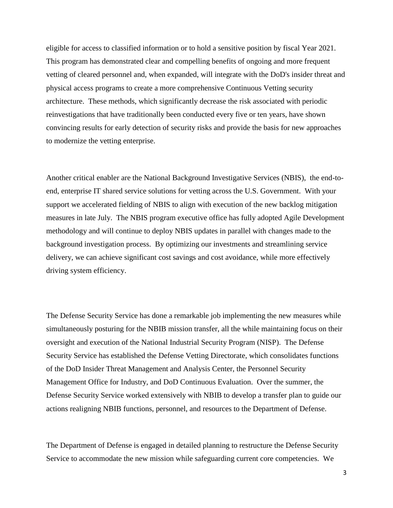eligible for access to classified information or to hold a sensitive position by fiscal Year 2021. This program has demonstrated clear and compelling benefits of ongoing and more frequent vetting of cleared personnel and, when expanded, will integrate with the DoD's insider threat and physical access programs to create a more comprehensive Continuous Vetting security architecture. These methods, which significantly decrease the risk associated with periodic reinvestigations that have traditionally been conducted every five or ten years, have shown convincing results for early detection of security risks and provide the basis for new approaches to modernize the vetting enterprise.

Another critical enabler are the National Background Investigative Services (NBIS), the end-toend, enterprise IT shared service solutions for vetting across the U.S. Government. With your support we accelerated fielding of NBIS to align with execution of the new backlog mitigation measures in late July. The NBIS program executive office has fully adopted Agile Development methodology and will continue to deploy NBIS updates in parallel with changes made to the background investigation process. By optimizing our investments and streamlining service delivery, we can achieve significant cost savings and cost avoidance, while more effectively driving system efficiency.

The Defense Security Service has done a remarkable job implementing the new measures while simultaneously posturing for the NBIB mission transfer, all the while maintaining focus on their oversight and execution of the National Industrial Security Program (NISP). The Defense Security Service has established the Defense Vetting Directorate, which consolidates functions of the DoD Insider Threat Management and Analysis Center, the Personnel Security Management Office for Industry, and DoD Continuous Evaluation. Over the summer, the Defense Security Service worked extensively with NBIB to develop a transfer plan to guide our actions realigning NBIB functions, personnel, and resources to the Department of Defense.

The Department of Defense is engaged in detailed planning to restructure the Defense Security Service to accommodate the new mission while safeguarding current core competencies. We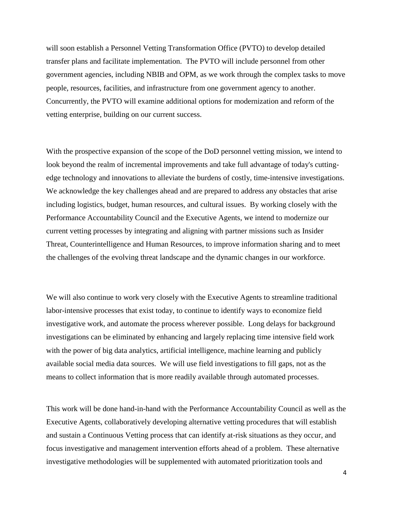will soon establish a Personnel Vetting Transformation Office (PVTO) to develop detailed transfer plans and facilitate implementation. The PVTO will include personnel from other government agencies, including NBIB and OPM, as we work through the complex tasks to move people, resources, facilities, and infrastructure from one government agency to another. Concurrently, the PVTO will examine additional options for modernization and reform of the vetting enterprise, building on our current success.

With the prospective expansion of the scope of the DoD personnel vetting mission, we intend to look beyond the realm of incremental improvements and take full advantage of today's cuttingedge technology and innovations to alleviate the burdens of costly, time-intensive investigations. We acknowledge the key challenges ahead and are prepared to address any obstacles that arise including logistics, budget, human resources, and cultural issues. By working closely with the Performance Accountability Council and the Executive Agents, we intend to modernize our current vetting processes by integrating and aligning with partner missions such as Insider Threat, Counterintelligence and Human Resources, to improve information sharing and to meet the challenges of the evolving threat landscape and the dynamic changes in our workforce.

We will also continue to work very closely with the Executive Agents to streamline traditional labor-intensive processes that exist today, to continue to identify ways to economize field investigative work, and automate the process wherever possible. Long delays for background investigations can be eliminated by enhancing and largely replacing time intensive field work with the power of big data analytics, artificial intelligence, machine learning and publicly available social media data sources. We will use field investigations to fill gaps, not as the means to collect information that is more readily available through automated processes.

This work will be done hand-in-hand with the Performance Accountability Council as well as the Executive Agents, collaboratively developing alternative vetting procedures that will establish and sustain a Continuous Vetting process that can identify at-risk situations as they occur, and focus investigative and management intervention efforts ahead of a problem. These alternative investigative methodologies will be supplemented with automated prioritization tools and